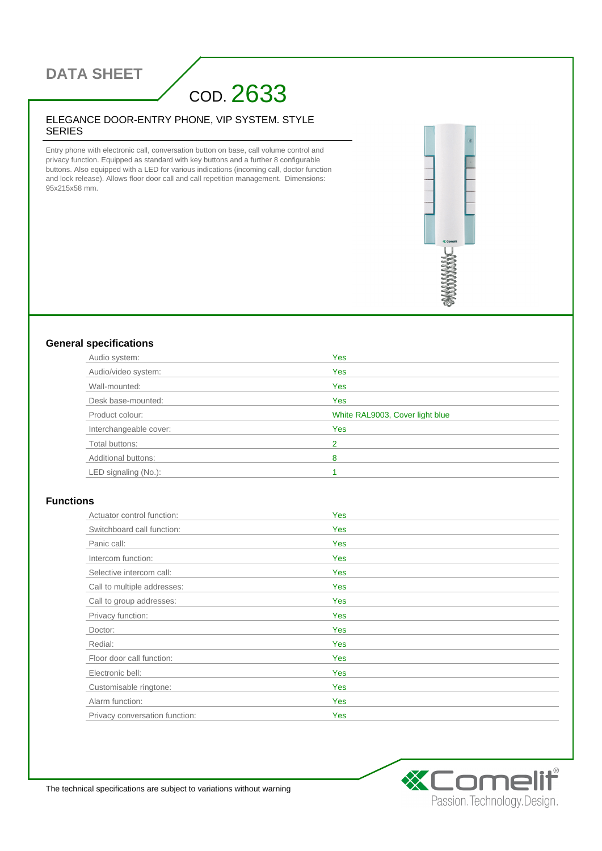## **DATA SHEET**

# COD. 2633

#### ELEGANCE DOOR-ENTRY PHONE, VIP SYSTEM. STYLE SERIES

Entry phone with electronic call, conversation button on base, call volume control and privacy function. Equipped as standard with key buttons and a further 8 configurable buttons. Also equipped with a LED for various indications (incoming call, doctor function and lock release). Allows floor door call and call repetition management. Dimensions: 95x215x58 mm.



### **General specifications**

| Audio system:          | <b>Yes</b>                      |
|------------------------|---------------------------------|
| Audio/video system:    | Yes                             |
| Wall-mounted:          | <b>Yes</b>                      |
| Desk base-mounted:     | <b>Yes</b>                      |
| Product colour:        | White RAL9003, Cover light blue |
| Interchangeable cover: | Yes                             |
| Total buttons:         | 2                               |
| Additional buttons:    | 8                               |
| LED signaling (No.):   |                                 |

### **Functions**

| Actuator control function:     | <b>Yes</b> |
|--------------------------------|------------|
| Switchboard call function:     | Yes        |
| Panic call:                    | Yes        |
| Intercom function:             | Yes        |
| Selective intercom call:       | <b>Yes</b> |
| Call to multiple addresses:    | <b>Yes</b> |
| Call to group addresses:       | Yes        |
| Privacy function:              | <b>Yes</b> |
| Doctor:                        | <b>Yes</b> |
| Redial:                        | <b>Yes</b> |
| Floor door call function:      | <b>Yes</b> |
| Electronic bell:               | Yes        |
| Customisable ringtone:         | <b>Yes</b> |
| Alarm function:                | <b>Yes</b> |
| Privacy conversation function: | <b>Yes</b> |